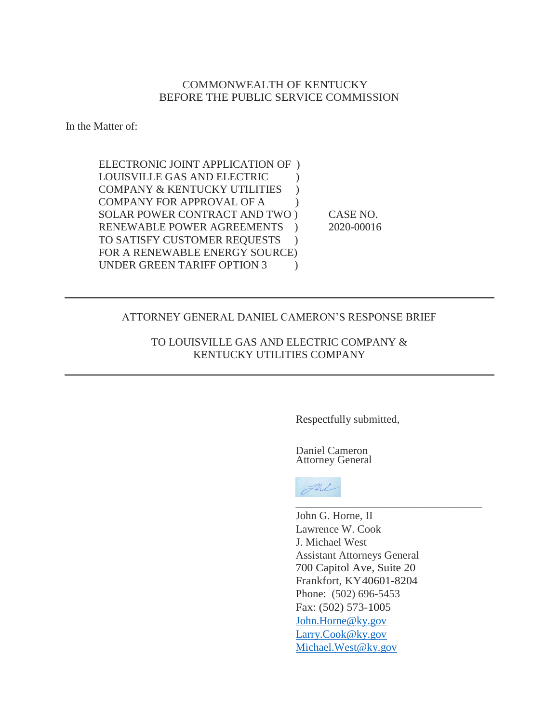# COMMONWEALTH OF KENTUCKY BEFORE THE PUBLIC SERVICE COMMISSION

In the Matter of:

ELECTRONIC JOINT APPLICATION OF ) LOUISVILLE GAS AND ELECTRIC ) COMPANY & KENTUCKY UTILITIES ) COMPANY FOR APPROVAL OF A  $\qquad$ ) SOLAR POWER CONTRACT AND TWO ) CASE NO. RENEWABLE POWER AGREEMENTS ) 2020-00016 TO SATISFY CUSTOMER REQUESTS ) FOR A RENEWABLE ENERGY SOURCE) UNDER GREEN TARIFF OPTION 3

## ATTORNEY GENERAL DANIEL CAMERON'S RESPONSE BRIEF

TO LOUISVILLE GAS AND ELECTRIC COMPANY & KENTUCKY UTILITIES COMPANY

Respectfully submitted,

Daniel Cameron Attorney General



John G. Horne, II Lawrence W. Cook J. Michael West Assistant Attorneys General 700 Capitol Ave, Suite 20 Frankfort, KY40601-8204 Phone: (502) 696-5453 Fax: (502) 573-1005 [John.Horne@ky.gov](mailto:John.Horne@ky.gov) [Larry.Cook@ky.gov](mailto:Larry.Cook@ky.gov) [Michael.West@ky.gov](mailto:Michael.West@ky.gov)

\_\_\_\_\_\_\_\_\_\_\_\_\_\_\_\_\_\_\_\_\_\_\_\_\_\_\_\_\_\_\_\_\_\_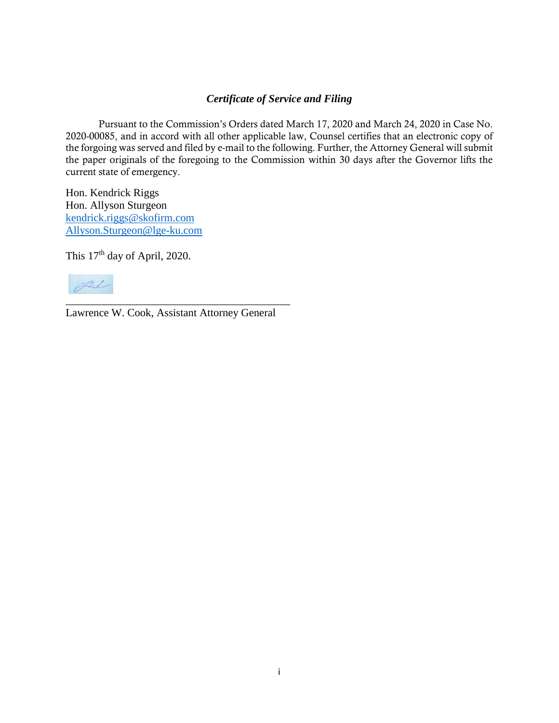# *Certificate of Service and Filing*

Pursuant to the Commission's Orders dated March 17, 2020 and March 24, 2020 in Case No. 2020-00085, and in accord with all other applicable law, Counsel certifies that an electronic copy of the forgoing was served and filed by e-mail to the following. Further, the Attorney General will submit the paper originals of the foregoing to the Commission within 30 days after the Governor lifts the current state of emergency.

Hon. Kendrick Riggs Hon. Allyson Sturgeon [kendrick.riggs@skofirm.com](mailto:kendrick.riggs@skofirm.com) [Allyson.Sturgeon@lge-ku.com](mailto:Allyson.Sturgeon@lge-ku.com)

This 17<sup>th</sup> day of April, 2020.



Lawrence W. Cook, Assistant Attorney General

\_\_\_\_\_\_\_\_\_\_\_\_\_\_\_\_\_\_\_\_\_\_\_\_\_\_\_\_\_\_\_\_\_\_\_\_\_\_\_\_\_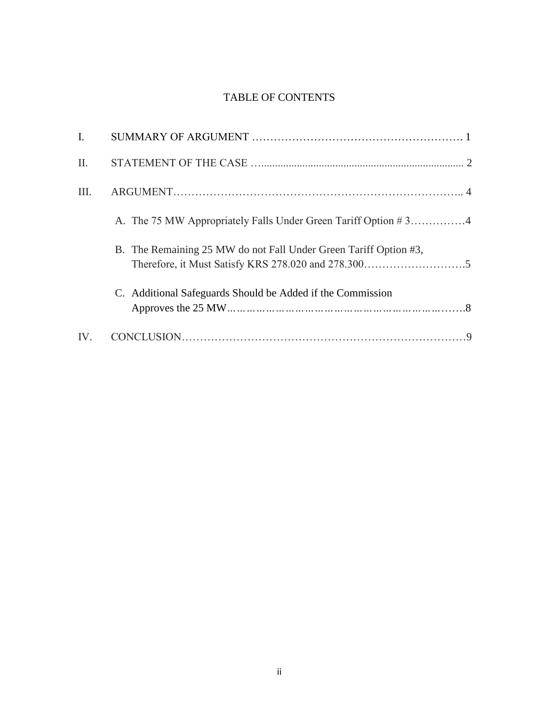# TABLE OF CONTENTS

| $\mathbf{I}$ . |                                                                  |
|----------------|------------------------------------------------------------------|
| $\Pi$ .        |                                                                  |
| III.           |                                                                  |
|                | A. The 75 MW Appropriately Falls Under Green Tariff Option #34   |
|                | B. The Remaining 25 MW do not Fall Under Green Tariff Option #3, |
|                | C. Additional Safeguards Should be Added if the Commission       |
| IV.            |                                                                  |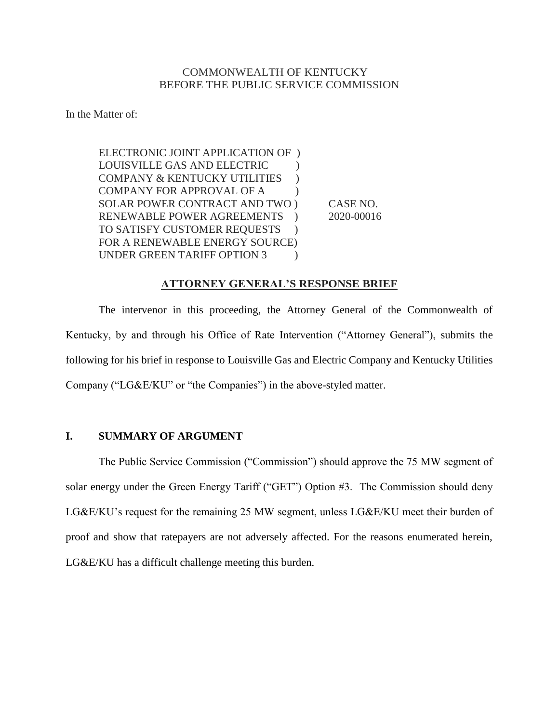## COMMONWEALTH OF KENTUCKY BEFORE THE PUBLIC SERVICE COMMISSION

In the Matter of:

ELECTRONIC JOINT APPLICATION OF ) LOUISVILLE GAS AND ELECTRIC ) COMPANY & KENTUCKY UTILITIES ) COMPANY FOR APPROVAL OF A  $\qquad$  ) SOLAR POWER CONTRACT AND TWO ) CASE NO. RENEWABLE POWER AGREEMENTS ) 2020-00016 TO SATISFY CUSTOMER REQUESTS ) FOR A RENEWABLE ENERGY SOURCE) UNDER GREEN TARIFF OPTION 3

#### **ATTORNEY GENERAL'S RESPONSE BRIEF**

The intervenor in this proceeding, the Attorney General of the Commonwealth of Kentucky, by and through his Office of Rate Intervention ("Attorney General"), submits the following for his brief in response to Louisville Gas and Electric Company and Kentucky Utilities Company ("LG&E/KU" or "the Companies") in the above-styled matter.

# **I. SUMMARY OF ARGUMENT**

The Public Service Commission ("Commission") should approve the 75 MW segment of solar energy under the Green Energy Tariff ("GET") Option #3. The Commission should deny LG&E/KU's request for the remaining 25 MW segment, unless LG&E/KU meet their burden of proof and show that ratepayers are not adversely affected. For the reasons enumerated herein, LG&E/KU has a difficult challenge meeting this burden.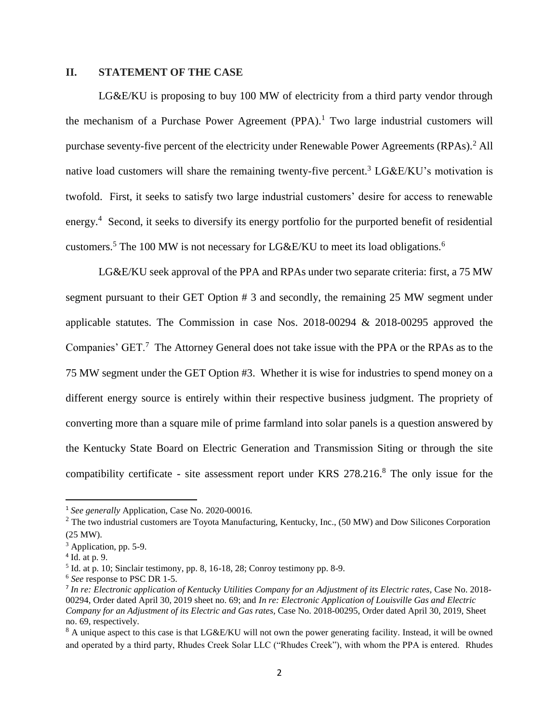## **II. STATEMENT OF THE CASE**

LG&E/KU is proposing to buy 100 MW of electricity from a third party vendor through the mechanism of a Purchase Power Agreement  $(PPA)$ .<sup>1</sup> Two large industrial customers will purchase seventy-five percent of the electricity under Renewable Power Agreements (RPAs).<sup>2</sup> All native load customers will share the remaining twenty-five percent.<sup>3</sup> LG&E/KU's motivation is twofold. First, it seeks to satisfy two large industrial customers' desire for access to renewable energy.<sup>4</sup> Second, it seeks to diversify its energy portfolio for the purported benefit of residential customers.<sup>5</sup> The 100 MW is not necessary for LG&E/KU to meet its load obligations.<sup>6</sup>

LG&E/KU seek approval of the PPA and RPAs under two separate criteria: first, a 75 MW segment pursuant to their GET Option # 3 and secondly, the remaining 25 MW segment under applicable statutes. The Commission in case Nos. 2018-00294 & 2018-00295 approved the Companies' GET.<sup>7</sup> The Attorney General does not take issue with the PPA or the RPAs as to the 75 MW segment under the GET Option #3. Whether it is wise for industries to spend money on a different energy source is entirely within their respective business judgment. The propriety of converting more than a square mile of prime farmland into solar panels is a question answered by the Kentucky State Board on Electric Generation and Transmission Siting or through the site compatibility certificate - site assessment report under KRS 278.216.<sup>8</sup> The only issue for the

<sup>1</sup> *See generally* Application, Case No. 2020-00016.

<sup>&</sup>lt;sup>2</sup> The two industrial customers are Toyota Manufacturing, Kentucky, Inc., (50 MW) and Dow Silicones Corporation (25 MW).

<sup>&</sup>lt;sup>3</sup> Application, pp. 5-9.

<sup>4</sup> Id. at p. 9.

 $<sup>5</sup>$  Id. at p. 10; Sinclair testimony, pp. 8, 16-18, 28; Conroy testimony pp. 8-9.</sup>

<sup>6</sup> *See* response to PSC DR 1-5.

<sup>7</sup> *In re: Electronic application of Kentucky Utilities Company for an Adjustment of its Electric rates,* Case No. 2018- 00294, Order dated April 30, 2019 sheet no. 69; and *In re: Electronic Application of Louisville Gas and Electric Company for an Adjustment of its Electric and Gas rates,* Case No. 2018-00295, Order dated April 30, 2019, Sheet no. 69, respectively.

<sup>&</sup>lt;sup>8</sup> A unique aspect to this case is that LG&E/KU will not own the power generating facility. Instead, it will be owned and operated by a third party, Rhudes Creek Solar LLC ("Rhudes Creek"), with whom the PPA is entered. Rhudes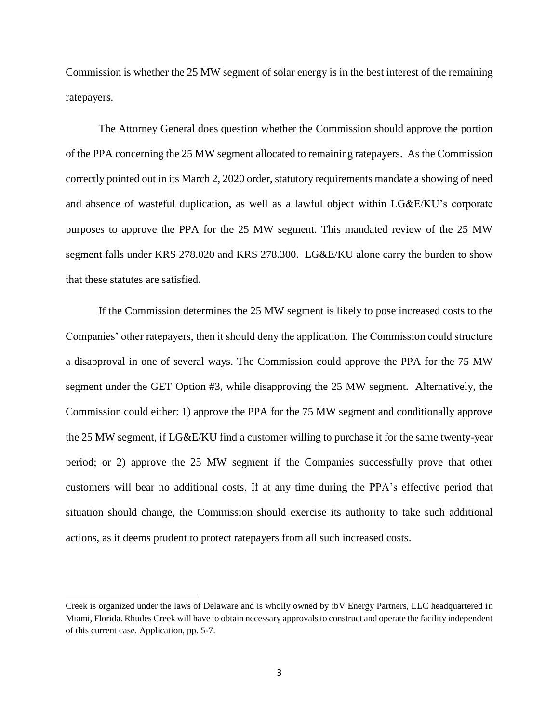Commission is whether the 25 MW segment of solar energy is in the best interest of the remaining ratepayers.

The Attorney General does question whether the Commission should approve the portion of the PPA concerning the 25 MW segment allocated to remaining ratepayers. As the Commission correctly pointed out in its March 2, 2020 order, statutory requirements mandate a showing of need and absence of wasteful duplication, as well as a lawful object within LG&E/KU's corporate purposes to approve the PPA for the 25 MW segment. This mandated review of the 25 MW segment falls under KRS 278.020 and KRS 278.300. LG&E/KU alone carry the burden to show that these statutes are satisfied.

If the Commission determines the 25 MW segment is likely to pose increased costs to the Companies' other ratepayers, then it should deny the application. The Commission could structure a disapproval in one of several ways. The Commission could approve the PPA for the 75 MW segment under the GET Option #3, while disapproving the 25 MW segment. Alternatively, the Commission could either: 1) approve the PPA for the 75 MW segment and conditionally approve the 25 MW segment, if LG&E/KU find a customer willing to purchase it for the same twenty-year period; or 2) approve the 25 MW segment if the Companies successfully prove that other customers will bear no additional costs. If at any time during the PPA's effective period that situation should change, the Commission should exercise its authority to take such additional actions, as it deems prudent to protect ratepayers from all such increased costs.

Creek is organized under the laws of Delaware and is wholly owned by ibV Energy Partners, LLC headquartered in Miami, Florida. Rhudes Creek will have to obtain necessary approvals to construct and operate the facility independent of this current case. Application, pp. 5-7.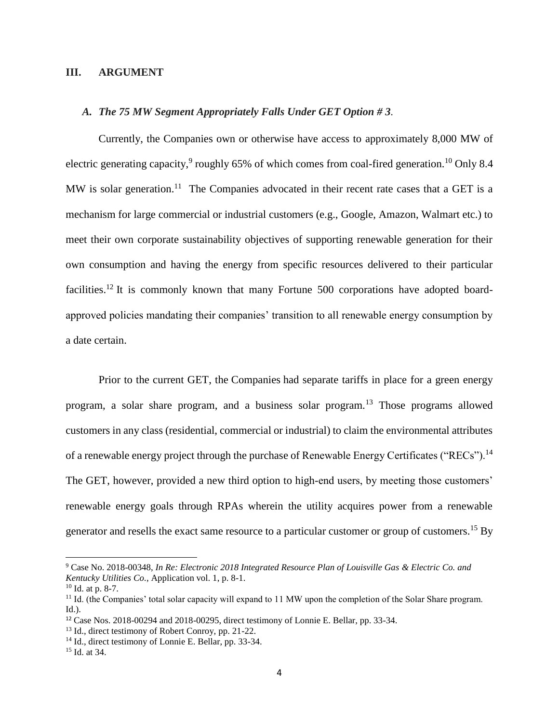#### **III. ARGUMENT**

### *A. The 75 MW Segment Appropriately Falls Under GET Option # 3.*

Currently, the Companies own or otherwise have access to approximately 8,000 MW of electric generating capacity,  $9$  roughly 65% of which comes from coal-fired generation.<sup>10</sup> Only 8.4 MW is solar generation.<sup>11</sup> The Companies advocated in their recent rate cases that a GET is a mechanism for large commercial or industrial customers (e.g., Google, Amazon, Walmart etc.) to meet their own corporate sustainability objectives of supporting renewable generation for their own consumption and having the energy from specific resources delivered to their particular facilities.<sup>12</sup> It is commonly known that many Fortune 500 corporations have adopted boardapproved policies mandating their companies' transition to all renewable energy consumption by a date certain.

Prior to the current GET, the Companies had separate tariffs in place for a green energy program, a solar share program, and a business solar program.<sup>13</sup> Those programs allowed customers in any class (residential, commercial or industrial) to claim the environmental attributes of a renewable energy project through the purchase of Renewable Energy Certificates ("RECs").<sup>14</sup> The GET, however, provided a new third option to high-end users, by meeting those customers' renewable energy goals through RPAs wherein the utility acquires power from a renewable generator and resells the exact same resource to a particular customer or group of customers.<sup>15</sup> By

<sup>9</sup> Case No. 2018-00348, *In Re: Electronic 2018 Integrated Resource Plan of Louisville Gas & Electric Co. and Kentucky Utilities Co.*, Application vol. 1, p. 8-1.

<sup>10</sup> Id. at p. 8-7.

<sup>&</sup>lt;sup>11</sup> Id. (the Companies' total solar capacity will expand to 11 MW upon the completion of the Solar Share program. Id.).

<sup>12</sup> Case Nos. 2018-00294 and 2018-00295, direct testimony of Lonnie E. Bellar, pp. 33-34.

<sup>13</sup> Id., direct testimony of Robert Conroy, pp. 21-22.

<sup>14</sup> Id., direct testimony of Lonnie E. Bellar, pp. 33-34.

<sup>15</sup> Id. at 34.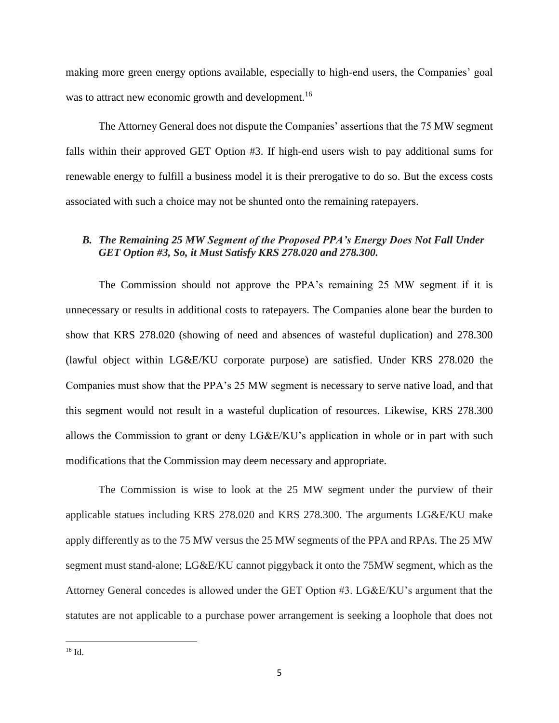making more green energy options available, especially to high-end users, the Companies' goal was to attract new economic growth and development.<sup>16</sup>

The Attorney General does not dispute the Companies' assertions that the 75 MW segment falls within their approved GET Option #3. If high-end users wish to pay additional sums for renewable energy to fulfill a business model it is their prerogative to do so. But the excess costs associated with such a choice may not be shunted onto the remaining ratepayers.

# *B. The Remaining 25 MW Segment of the Proposed PPA's Energy Does Not Fall Under GET Option #3, So, it Must Satisfy KRS 278.020 and 278.300.*

The Commission should not approve the PPA's remaining 25 MW segment if it is unnecessary or results in additional costs to ratepayers. The Companies alone bear the burden to show that KRS 278.020 (showing of need and absences of wasteful duplication) and 278.300 (lawful object within LG&E/KU corporate purpose) are satisfied. Under KRS 278.020 the Companies must show that the PPA's 25 MW segment is necessary to serve native load, and that this segment would not result in a wasteful duplication of resources. Likewise, KRS 278.300 allows the Commission to grant or deny LG&E/KU's application in whole or in part with such modifications that the Commission may deem necessary and appropriate.

The Commission is wise to look at the 25 MW segment under the purview of their applicable statues including KRS 278.020 and KRS 278.300. The arguments LG&E/KU make apply differently as to the 75 MW versus the 25 MW segments of the PPA and RPAs. The 25 MW segment must stand-alone; LG&E/KU cannot piggyback it onto the 75MW segment, which as the Attorney General concedes is allowed under the GET Option #3. LG&E/KU's argument that the statutes are not applicable to a purchase power arrangement is seeking a loophole that does not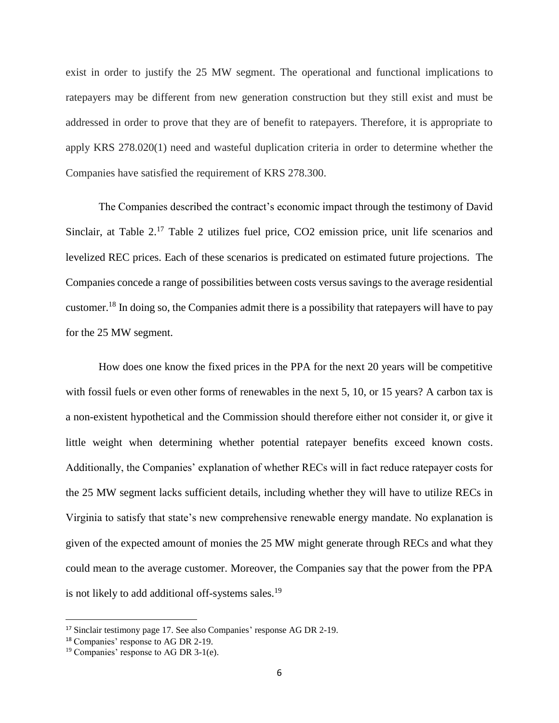exist in order to justify the 25 MW segment. The operational and functional implications to ratepayers may be different from new generation construction but they still exist and must be addressed in order to prove that they are of benefit to ratepayers. Therefore, it is appropriate to apply KRS 278.020(1) need and wasteful duplication criteria in order to determine whether the Companies have satisfied the requirement of KRS 278.300.

The Companies described the contract's economic impact through the testimony of David Sinclair, at Table 2.<sup>17</sup> Table 2 utilizes fuel price, CO2 emission price, unit life scenarios and levelized REC prices. Each of these scenarios is predicated on estimated future projections. The Companies concede a range of possibilities between costs versus savings to the average residential customer.<sup>18</sup> In doing so, the Companies admit there is a possibility that ratepayers will have to pay for the 25 MW segment.

How does one know the fixed prices in the PPA for the next 20 years will be competitive with fossil fuels or even other forms of renewables in the next 5, 10, or 15 years? A carbon tax is a non-existent hypothetical and the Commission should therefore either not consider it, or give it little weight when determining whether potential ratepayer benefits exceed known costs. Additionally, the Companies' explanation of whether RECs will in fact reduce ratepayer costs for the 25 MW segment lacks sufficient details, including whether they will have to utilize RECs in Virginia to satisfy that state's new comprehensive renewable energy mandate. No explanation is given of the expected amount of monies the 25 MW might generate through RECs and what they could mean to the average customer. Moreover, the Companies say that the power from the PPA is not likely to add additional off-systems sales.<sup>19</sup>

<sup>17</sup> Sinclair testimony page 17. See also Companies' response AG DR 2-19.

<sup>18</sup> Companies' response to AG DR 2-19.

<sup>19</sup> Companies' response to AG DR 3-1(e).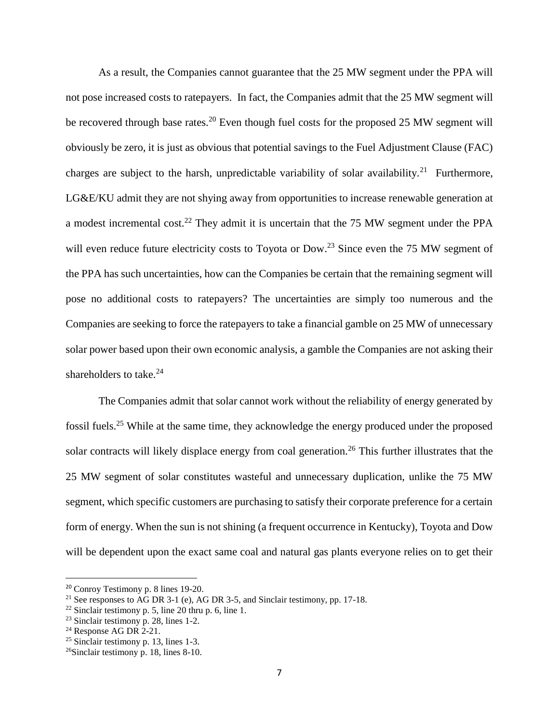As a result, the Companies cannot guarantee that the 25 MW segment under the PPA will not pose increased costs to ratepayers. In fact, the Companies admit that the 25 MW segment will be recovered through base rates.<sup>20</sup> Even though fuel costs for the proposed 25 MW segment will obviously be zero, it is just as obvious that potential savings to the Fuel Adjustment Clause (FAC) charges are subject to the harsh, unpredictable variability of solar availability.<sup>21</sup> Furthermore, LG&E/KU admit they are not shying away from opportunities to increase renewable generation at a modest incremental cost.<sup>22</sup> They admit it is uncertain that the 75 MW segment under the PPA will even reduce future electricity costs to Toyota or Dow.<sup>23</sup> Since even the 75 MW segment of the PPA has such uncertainties, how can the Companies be certain that the remaining segment will pose no additional costs to ratepayers? The uncertainties are simply too numerous and the Companies are seeking to force the ratepayers to take a financial gamble on 25 MW of unnecessary solar power based upon their own economic analysis, a gamble the Companies are not asking their shareholders to take.<sup>24</sup>

The Companies admit that solar cannot work without the reliability of energy generated by fossil fuels.<sup>25</sup> While at the same time, they acknowledge the energy produced under the proposed solar contracts will likely displace energy from coal generation.<sup>26</sup> This further illustrates that the 25 MW segment of solar constitutes wasteful and unnecessary duplication, unlike the 75 MW segment, which specific customers are purchasing to satisfy their corporate preference for a certain form of energy. When the sun is not shining (a frequent occurrence in Kentucky), Toyota and Dow will be dependent upon the exact same coal and natural gas plants everyone relies on to get their

<sup>20</sup> Conroy Testimony p. 8 lines 19-20.

<sup>&</sup>lt;sup>21</sup> See responses to AG DR 3-1 (e), AG DR 3-5, and Sinclair testimony, pp. 17-18.

 $22$  Sinclair testimony p. 5, line 20 thru p. 6, line 1.

<sup>23</sup> Sinclair testimony p. 28, lines 1-2.

 $24$  Response AG DR 2-21.

<sup>25</sup> Sinclair testimony p. 13, lines 1-3.

<sup>26</sup>Sinclair testimony p. 18, lines 8-10.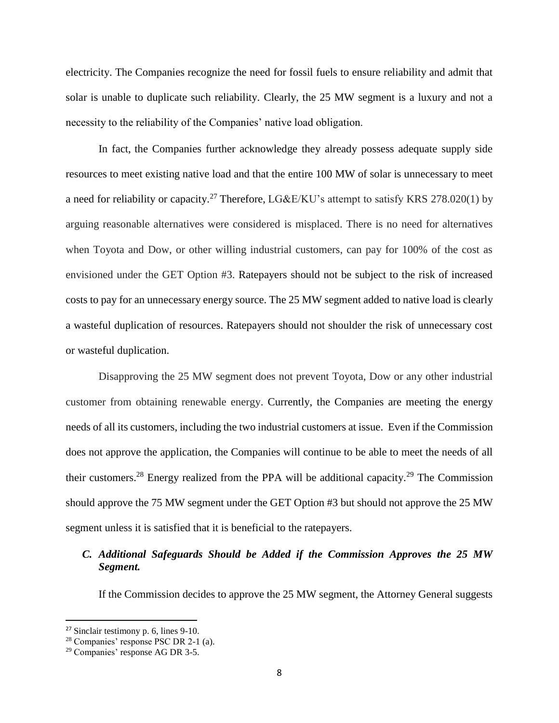electricity. The Companies recognize the need for fossil fuels to ensure reliability and admit that solar is unable to duplicate such reliability. Clearly, the 25 MW segment is a luxury and not a necessity to the reliability of the Companies' native load obligation.

In fact, the Companies further acknowledge they already possess adequate supply side resources to meet existing native load and that the entire 100 MW of solar is unnecessary to meet a need for reliability or capacity.<sup>27</sup> Therefore, LG&E/KU's attempt to satisfy KRS 278.020(1) by arguing reasonable alternatives were considered is misplaced. There is no need for alternatives when Toyota and Dow, or other willing industrial customers, can pay for 100% of the cost as envisioned under the GET Option #3. Ratepayers should not be subject to the risk of increased costs to pay for an unnecessary energy source. The 25 MW segment added to native load is clearly a wasteful duplication of resources. Ratepayers should not shoulder the risk of unnecessary cost or wasteful duplication.

Disapproving the 25 MW segment does not prevent Toyota, Dow or any other industrial customer from obtaining renewable energy. Currently, the Companies are meeting the energy needs of all its customers, including the two industrial customers at issue. Even if the Commission does not approve the application, the Companies will continue to be able to meet the needs of all their customers.<sup>28</sup> Energy realized from the PPA will be additional capacity.<sup>29</sup> The Commission should approve the 75 MW segment under the GET Option #3 but should not approve the 25 MW segment unless it is satisfied that it is beneficial to the ratepayers.

# *C. Additional Safeguards Should be Added if the Commission Approves the 25 MW Segment.*

If the Commission decides to approve the 25 MW segment, the Attorney General suggests

<sup>27</sup> Sinclair testimony p. 6, lines 9-10.

<sup>28</sup> Companies' response PSC DR 2-1 (a).

<sup>29</sup> Companies' response AG DR 3-5.